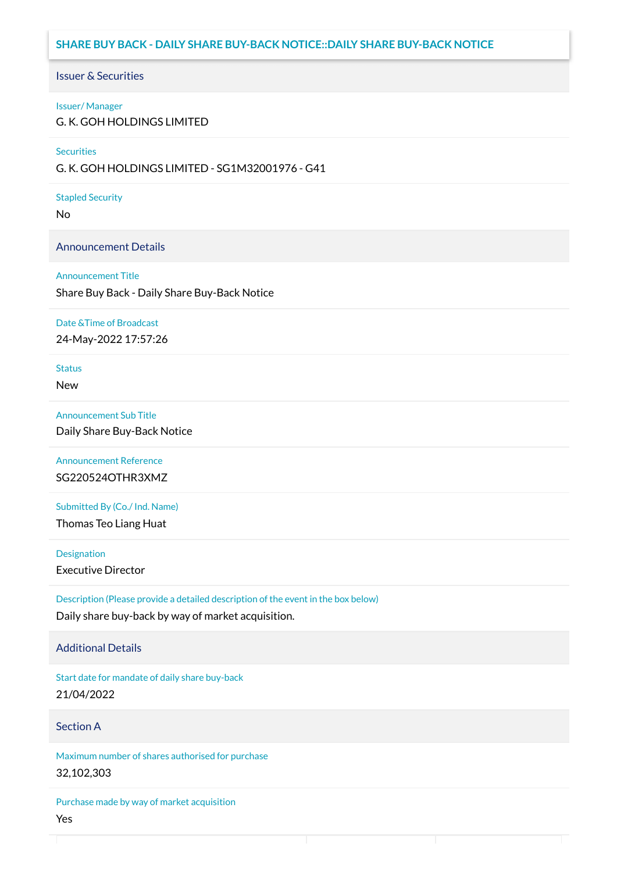# **SHARE BUY BACK - DAILY SHARE BUY-BACK NOTICE::DAILY SHARE BUY-BACK NOTICE**

### Issuer & Securities

#### Issuer/ Manager

G. K. GOH HOLDINGS LIMITED

#### **Securities**

G. K. GOH HOLDINGS LIMITED - SG1M32001976 - G41

#### Stapled Security

No

### Announcement Details

#### Announcement Title

Share Buy Back - Daily Share Buy-Back Notice

#### Date &Time of Broadcast

24-May-2022 17:57:26

# Status

New

### Announcement Sub Title

Daily Share Buy-Back Notice

### Announcement Reference SG220524OTHR3XMZ

Submitted By (Co./ Ind. Name)

Thomas Teo Liang Huat

**Designation** 

Executive Director

Description (Please provide a detailed description of the event in the box below) Daily share buy-back by way of market acquisition.

### Additional Details

Start date for mandate of daily share buy-back 21/04/2022

### Section A

Maximum number of shares authorised for purchase 32,102,303

Purchase made by way of market acquisition Yes